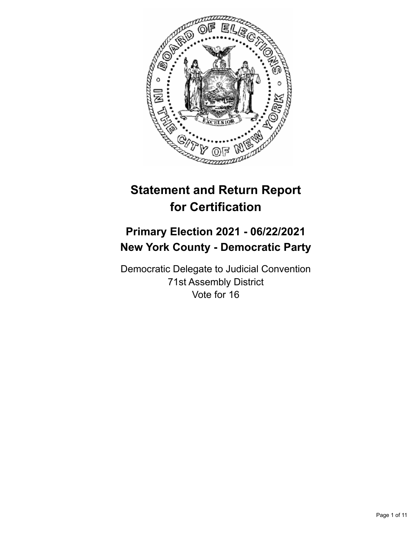

# **Statement and Return Report for Certification**

# **Primary Election 2021 - 06/22/2021 New York County - Democratic Party**

Democratic Delegate to Judicial Convention 71st Assembly District Vote for 16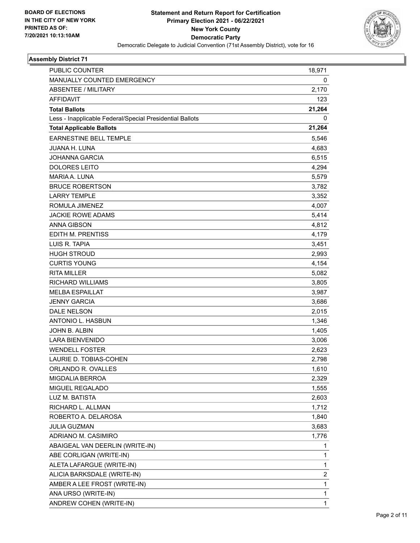

| PUBLIC COUNTER                                           | 18,971                  |
|----------------------------------------------------------|-------------------------|
| MANUALLY COUNTED EMERGENCY                               | 0                       |
| <b>ABSENTEE / MILITARY</b>                               | 2,170                   |
| <b>AFFIDAVIT</b>                                         | 123                     |
| <b>Total Ballots</b>                                     | 21,264                  |
| Less - Inapplicable Federal/Special Presidential Ballots | 0                       |
| <b>Total Applicable Ballots</b>                          | 21,264                  |
| <b>EARNESTINE BELL TEMPLE</b>                            | 5,546                   |
| JUANA H. LUNA                                            | 4,683                   |
| <b>JOHANNA GARCIA</b>                                    | 6,515                   |
| <b>DOLORES LEITO</b>                                     | 4,294                   |
| MARIA A. LUNA                                            | 5,579                   |
| <b>BRUCE ROBERTSON</b>                                   | 3,782                   |
| <b>LARRY TEMPLE</b>                                      | 3,352                   |
| ROMULA JIMENEZ                                           | 4,007                   |
| <b>JACKIE ROWE ADAMS</b>                                 | 5,414                   |
| <b>ANNA GIBSON</b>                                       | 4,812                   |
| EDITH M. PRENTISS                                        | 4,179                   |
| LUIS R. TAPIA                                            | 3,451                   |
| <b>HUGH STROUD</b>                                       | 2,993                   |
| <b>CURTIS YOUNG</b>                                      | 4,154                   |
| <b>RITA MILLER</b>                                       | 5,082                   |
| <b>RICHARD WILLIAMS</b>                                  | 3,805                   |
| <b>MELBA ESPAILLAT</b>                                   | 3,987                   |
| <b>JENNY GARCIA</b>                                      | 3,686                   |
| <b>DALE NELSON</b>                                       | 2,015                   |
| ANTONIO L. HASBUN                                        | 1,346                   |
| JOHN B. ALBIN                                            | 1,405                   |
| <b>LARA BIENVENIDO</b>                                   | 3,006                   |
| <b>WENDELL FOSTER</b>                                    | 2,623                   |
| LAURIE D. TOBIAS-COHEN                                   | 2,798                   |
| ORLANDO R. OVALLES                                       | 1,610                   |
| <b>MIGDALIA BERROA</b>                                   | 2,329                   |
| MIGUEL REGALADO                                          | 1,555                   |
| LUZ M. BATISTA                                           | 2,603                   |
| RICHARD L. ALLMAN                                        | 1,712                   |
| ROBERTO A. DELAROSA                                      | 1,840                   |
| <b>JULIA GUZMAN</b>                                      | 3,683                   |
| ADRIANO M. CASIMIRO                                      | 1,776                   |
| ABAIGEAL VAN DEERLIN (WRITE-IN)                          | 1                       |
| ABE CORLIGAN (WRITE-IN)                                  | 1                       |
| ALETA LAFARGUE (WRITE-IN)                                | 1                       |
| ALICIA BARKSDALE (WRITE-IN)                              | $\overline{\mathbf{c}}$ |
| AMBER A LEE FROST (WRITE-IN)                             | 1                       |
| ANA URSO (WRITE-IN)                                      | 1                       |
| ANDREW COHEN (WRITE-IN)                                  | $\mathbf{1}$            |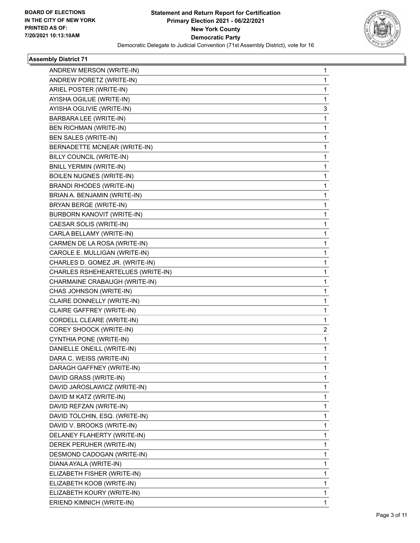

| ANDREW MERSON (WRITE-IN)          | 1 |
|-----------------------------------|---|
| ANDREW PORETZ (WRITE-IN)          | 1 |
| ARIEL POSTER (WRITE-IN)           | 1 |
| AYISHA OGILUE (WRITE-IN)          | 1 |
| AYISHA OGLIVIE (WRITE-IN)         | 3 |
| BARBARA LEE (WRITE-IN)            | 1 |
| <b>BEN RICHMAN (WRITE-IN)</b>     | 1 |
| <b>BEN SALES (WRITE-IN)</b>       | 1 |
| BERNADETTE MCNEAR (WRITE-IN)      | 1 |
| BILLY COUNCIL (WRITE-IN)          | 1 |
| <b>BNILL YERMIN (WRITE-IN)</b>    | 1 |
| <b>BOILEN NUGNES (WRITE-IN)</b>   | 1 |
| BRANDI RHODES (WRITE-IN)          | 1 |
| BRIAN A. BENJAMIN (WRITE-IN)      | 1 |
| BRYAN BERGE (WRITE-IN)            | 1 |
| BURBORN KANOVIT (WRITE-IN)        | 1 |
| CAESAR SOLIS (WRITE-IN)           | 1 |
| CARLA BELLAMY (WRITE-IN)          | 1 |
| CARMEN DE LA ROSA (WRITE-IN)      | 1 |
| CAROLE E. MULLIGAN (WRITE-IN)     | 1 |
| CHARLES D. GOMEZ JR. (WRITE-IN)   | 1 |
| CHARLES RSHEHEARTELUES (WRITE-IN) | 1 |
| CHARMAINE CRABAUGH (WRITE-IN)     | 1 |
| CHAS JOHNSON (WRITE-IN)           | 1 |
| CLAIRE DONNELLY (WRITE-IN)        | 1 |
| CLAIRE GAFFREY (WRITE-IN)         | 1 |
| CORDELL CLEARE (WRITE-IN)         | 1 |
| COREY SHOOCK (WRITE-IN)           | 2 |
| CYNTHIA PONE (WRITE-IN)           | 1 |
| DANIELLE ONEILL (WRITE-IN)        | 1 |
| DARA C. WEISS (WRITE-IN)          | 1 |
| DARAGH GAFFNEY (WRITE-IN)         | 1 |
| DAVID GRASS (WRITE-IN)            | 1 |
| DAVID JAROSLAWICZ (WRITE-IN)      | 1 |
| DAVID M KATZ (WRITE-IN)           | 1 |
| DAVID REFZAN (WRITE-IN)           | 1 |
| DAVID TOLCHIN, ESQ. (WRITE-IN)    | 1 |
| DAVID V. BROOKS (WRITE-IN)        | 1 |
| DELANEY FLAHERTY (WRITE-IN)       | 1 |
| DEREK PERUHER (WRITE-IN)          | 1 |
| DESMOND CADOGAN (WRITE-IN)        | 1 |
| DIANA AYALA (WRITE-IN)            | 1 |
| ELIZABETH FISHER (WRITE-IN)       | 1 |
| ELIZABETH KOOB (WRITE-IN)         | 1 |
| ELIZABETH KOURY (WRITE-IN)        | 1 |
| ERIEND KIMNICH (WRITE-IN)         | 1 |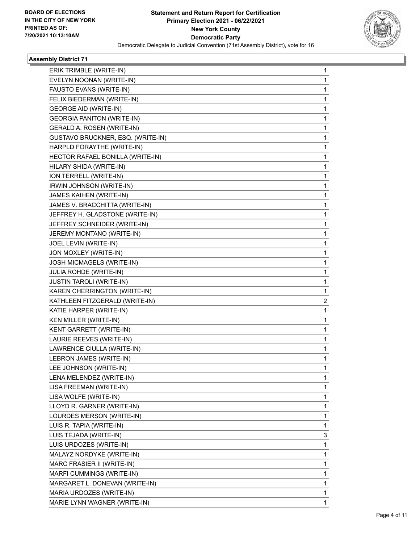

| ERIK TRIMBLE (WRITE-IN)           | 1 |
|-----------------------------------|---|
| EVELYN NOONAN (WRITE-IN)          | 1 |
| FAUSTO EVANS (WRITE-IN)           | 1 |
| FELIX BIEDERMAN (WRITE-IN)        | 1 |
| <b>GEORGE AID (WRITE-IN)</b>      | 1 |
| <b>GEORGIA PANITON (WRITE-IN)</b> | 1 |
| GERALD A. ROSEN (WRITE-IN)        | 1 |
| GUSTAVO BRUCKNER, ESQ. (WRITE-IN) | 1 |
| HARPLD FORAYTHE (WRITE-IN)        | 1 |
| HECTOR RAFAEL BONILLA (WRITE-IN)  | 1 |
| HILARY SHIDA (WRITE-IN)           | 1 |
| ION TERRELL (WRITE-IN)            | 1 |
| IRWIN JOHNSON (WRITE-IN)          | 1 |
| JAMES KAIHEN (WRITE-IN)           | 1 |
| JAMES V. BRACCHITTA (WRITE-IN)    | 1 |
| JEFFREY H. GLADSTONE (WRITE-IN)   | 1 |
| JEFFREY SCHNEIDER (WRITE-IN)      | 1 |
| JEREMY MONTANO (WRITE-IN)         | 1 |
| JOEL LEVIN (WRITE-IN)             | 1 |
| JON MOXLEY (WRITE-IN)             | 1 |
| JOSH MICMAGELS (WRITE-IN)         | 1 |
| JULIA ROHDE (WRITE-IN)            | 1 |
| <b>JUSTIN TAROLI (WRITE-IN)</b>   | 1 |
| KAREN CHERRINGTON (WRITE-IN)      | 1 |
| KATHLEEN FITZGERALD (WRITE-IN)    | 2 |
| KATIE HARPER (WRITE-IN)           | 1 |
| KEN MILLER (WRITE-IN)             | 1 |
| KENT GARRETT (WRITE-IN)           | 1 |
| LAURIE REEVES (WRITE-IN)          | 1 |
| LAWRENCE CIULLA (WRITE-IN)        | 1 |
| LEBRON JAMES (WRITE-IN)           | 1 |
| LEE JOHNSON (WRITE-IN)            | 1 |
| LENA MELENDEZ (WRITE-IN)          | 1 |
| LISA FREEMAN (WRITE-IN)           | 1 |
| LISA WOLFE (WRITE-IN)             | 1 |
| LLOYD R. GARNER (WRITE-IN)        | 1 |
| LOURDES MERSON (WRITE-IN)         | 1 |
| LUIS R. TAPIA (WRITE-IN)          | 1 |
| LUIS TEJADA (WRITE-IN)            | 3 |
| LUIS URDOZES (WRITE-IN)           | 1 |
| MALAYZ NORDYKE (WRITE-IN)         | 1 |
| MARC FRASIER II (WRITE-IN)        | 1 |
| MARFI CUMMINGS (WRITE-IN)         | 1 |
| MARGARET L. DONEVAN (WRITE-IN)    | 1 |
| MARIA URDOZES (WRITE-IN)          | 1 |
| MARIE LYNN WAGNER (WRITE-IN)      | 1 |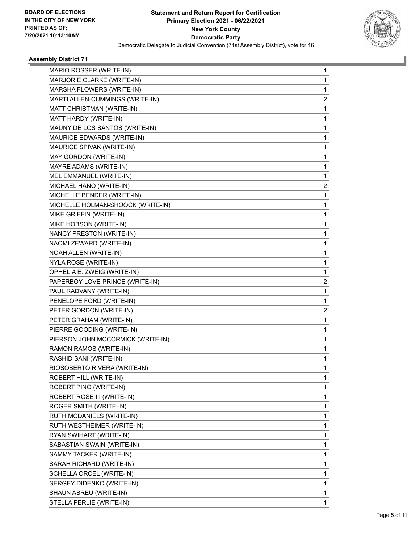

| MARIO ROSSER (WRITE-IN)           | 1                       |
|-----------------------------------|-------------------------|
| MARJORIE CLARKE (WRITE-IN)        | 1                       |
| MARSHA FLOWERS (WRITE-IN)         | 1                       |
| MARTI ALLEN-CUMMINGS (WRITE-IN)   | 2                       |
| MATT CHRISTMAN (WRITE-IN)         | 1                       |
| MATT HARDY (WRITE-IN)             | 1                       |
| MAUNY DE LOS SANTOS (WRITE-IN)    | 1                       |
| MAURICE EDWARDS (WRITE-IN)        | 1                       |
| MAURICE SPIVAK (WRITE-IN)         | 1                       |
| MAY GORDON (WRITE-IN)             | 1                       |
| MAYRE ADAMS (WRITE-IN)            | 1                       |
| MEL EMMANUEL (WRITE-IN)           | 1                       |
| MICHAEL HANO (WRITE-IN)           | 2                       |
| MICHELLE BENDER (WRITE-IN)        | $\mathbf{1}$            |
| MICHELLE HOLMAN-SHOOCK (WRITE-IN) | 1                       |
| MIKE GRIFFIN (WRITE-IN)           | 1                       |
| MIKE HOBSON (WRITE-IN)            | 1                       |
| NANCY PRESTON (WRITE-IN)          | 1                       |
| NAOMI ZEWARD (WRITE-IN)           | 1                       |
| NOAH ALLEN (WRITE-IN)             | 1                       |
| NYLA ROSE (WRITE-IN)              | 1                       |
| OPHELIA E. ZWEIG (WRITE-IN)       | 1                       |
| PAPERBOY LOVE PRINCE (WRITE-IN)   | 2                       |
| PAUL RADVANY (WRITE-IN)           | 1                       |
| PENELOPE FORD (WRITE-IN)          | 1                       |
| PETER GORDON (WRITE-IN)           | $\overline{\mathbf{c}}$ |
| PETER GRAHAM (WRITE-IN)           | 1                       |
| PIERRE GOODING (WRITE-IN)         | 1                       |
| PIERSON JOHN MCCORMICK (WRITE-IN) | 1                       |
| RAMON RAMOS (WRITE-IN)            | 1                       |
| RASHID SANI (WRITE-IN)            | 1                       |
| RIOSOBERTO RIVERA (WRITE-IN)      | 1                       |
| ROBERT HILL (WRITE-IN)            | 1                       |
| ROBERT PINO (WRITE-IN)            | 1                       |
| ROBERT ROSE III (WRITE-IN)        | 1                       |
| ROGER SMITH (WRITE-IN)            | 1                       |
| RUTH MCDANIELS (WRITE-IN)         | 1                       |
| RUTH WESTHEIMER (WRITE-IN)        | 1                       |
| RYAN SWIHART (WRITE-IN)           | 1                       |
| SABASTIAN SWAIN (WRITE-IN)        | 1                       |
| SAMMY TACKER (WRITE-IN)           | 1                       |
| SARAH RICHARD (WRITE-IN)          | 1                       |
| SCHELLA ORCEL (WRITE-IN)          | 1                       |
| SERGEY DIDENKO (WRITE-IN)         | 1                       |
| SHAUN ABREU (WRITE-IN)            | 1                       |
| STELLA PERLIE (WRITE-IN)          | 1                       |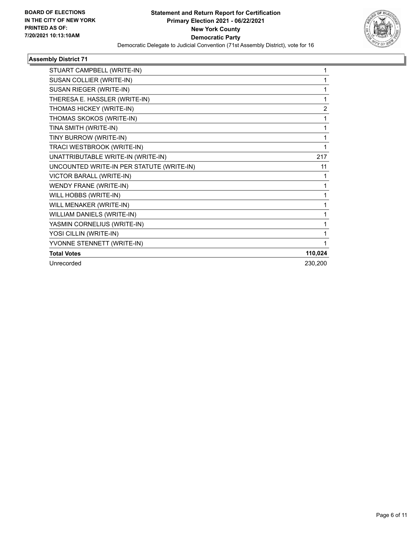

| 1       |
|---------|
| 1       |
| 2       |
| 1       |
| 1       |
| 1       |
| 1       |
| 217     |
| 11      |
| 1       |
| 1       |
| 1       |
| 1       |
| 1       |
| 1       |
| 1       |
| 1       |
| 110,024 |
| 230,200 |
|         |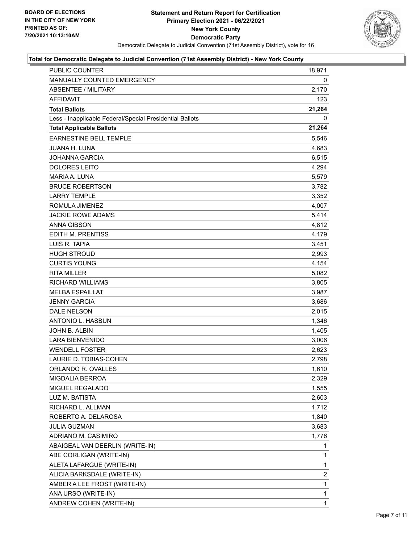

| PUBLIC COUNTER                                           | 18,971       |
|----------------------------------------------------------|--------------|
| MANUALLY COUNTED EMERGENCY                               | 0            |
| <b>ABSENTEE / MILITARY</b>                               | 2,170        |
| <b>AFFIDAVIT</b>                                         | 123          |
| <b>Total Ballots</b>                                     | 21,264       |
| Less - Inapplicable Federal/Special Presidential Ballots | 0            |
| <b>Total Applicable Ballots</b>                          | 21,264       |
| <b>EARNESTINE BELL TEMPLE</b>                            | 5,546        |
| <b>JUANA H. LUNA</b>                                     | 4,683        |
| <b>JOHANNA GARCIA</b>                                    | 6,515        |
| <b>DOLORES LEITO</b>                                     | 4,294        |
| MARIA A. LUNA                                            | 5,579        |
| <b>BRUCE ROBERTSON</b>                                   | 3,782        |
| <b>LARRY TEMPLE</b>                                      | 3,352        |
| ROMULA JIMENEZ                                           | 4,007        |
| <b>JACKIE ROWE ADAMS</b>                                 | 5,414        |
| <b>ANNA GIBSON</b>                                       | 4,812        |
| EDITH M. PRENTISS                                        | 4,179        |
| LUIS R. TAPIA                                            | 3,451        |
| <b>HUGH STROUD</b>                                       | 2,993        |
| <b>CURTIS YOUNG</b>                                      | 4,154        |
| <b>RITA MILLER</b>                                       | 5,082        |
| RICHARD WILLIAMS                                         | 3,805        |
| <b>MELBA ESPAILLAT</b>                                   | 3,987        |
| <b>JENNY GARCIA</b>                                      | 3,686        |
| DALE NELSON                                              | 2,015        |
| ANTONIO L. HASBUN                                        | 1,346        |
| JOHN B. ALBIN                                            | 1,405        |
| <b>LARA BIENVENIDO</b>                                   | 3,006        |
| <b>WENDELL FOSTER</b>                                    | 2,623        |
| LAURIE D. TOBIAS-COHEN                                   | 2,798        |
| ORLANDO R. OVALLES                                       | 1,610        |
| <b>MIGDALIA BERROA</b>                                   | 2,329        |
| <b>MIGUEL REGALADO</b>                                   | 1,555        |
| LUZ M. BATISTA                                           | 2,603        |
| RICHARD L. ALLMAN                                        | 1,712        |
| ROBERTO A. DELAROSA                                      | 1,840        |
| <b>JULIA GUZMAN</b>                                      | 3,683        |
| ADRIANO M. CASIMIRO                                      | 1,776        |
| ABAIGEAL VAN DEERLIN (WRITE-IN)                          | 1            |
| ABE CORLIGAN (WRITE-IN)                                  | 1            |
| ALETA LAFARGUE (WRITE-IN)                                | 1            |
| ALICIA BARKSDALE (WRITE-IN)                              | 2            |
| AMBER A LEE FROST (WRITE-IN)                             | $\mathbf{1}$ |
| ANA URSO (WRITE-IN)                                      | 1            |
| ANDREW COHEN (WRITE-IN)                                  | $\mathbf 1$  |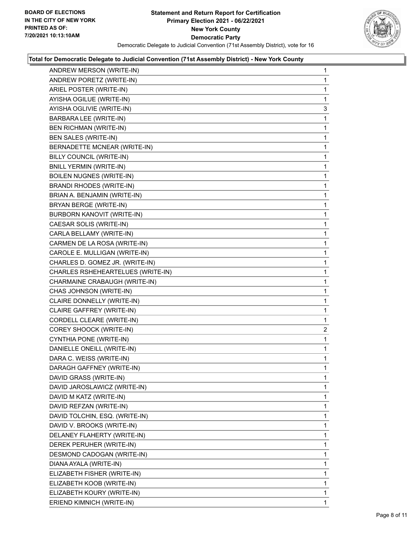

| ANDREW MERSON (WRITE-IN)          | 1              |
|-----------------------------------|----------------|
| ANDREW PORETZ (WRITE-IN)          | 1              |
| ARIEL POSTER (WRITE-IN)           | 1              |
| AYISHA OGILUE (WRITE-IN)          | 1              |
| AYISHA OGLIVIE (WRITE-IN)         | 3              |
| BARBARA LEE (WRITE-IN)            | 1              |
| <b>BEN RICHMAN (WRITE-IN)</b>     | 1              |
| BEN SALES (WRITE-IN)              | 1              |
| BERNADETTE MCNEAR (WRITE-IN)      | 1              |
| BILLY COUNCIL (WRITE-IN)          | 1              |
| <b>BNILL YERMIN (WRITE-IN)</b>    | 1              |
| <b>BOILEN NUGNES (WRITE-IN)</b>   | 1              |
| <b>BRANDI RHODES (WRITE-IN)</b>   | 1              |
| BRIAN A. BENJAMIN (WRITE-IN)      | 1              |
| BRYAN BERGE (WRITE-IN)            | 1              |
| <b>BURBORN KANOVIT (WRITE-IN)</b> | 1              |
| CAESAR SOLIS (WRITE-IN)           | 1              |
| CARLA BELLAMY (WRITE-IN)          | 1              |
| CARMEN DE LA ROSA (WRITE-IN)      | 1              |
| CAROLE E. MULLIGAN (WRITE-IN)     | 1              |
| CHARLES D. GOMEZ JR. (WRITE-IN)   | 1              |
| CHARLES RSHEHEARTELUES (WRITE-IN) | 1              |
| CHARMAINE CRABAUGH (WRITE-IN)     | 1              |
| CHAS JOHNSON (WRITE-IN)           | 1              |
| CLAIRE DONNELLY (WRITE-IN)        | 1              |
| CLAIRE GAFFREY (WRITE-IN)         | 1              |
| CORDELL CLEARE (WRITE-IN)         | 1              |
| COREY SHOOCK (WRITE-IN)           | $\overline{2}$ |
| CYNTHIA PONE (WRITE-IN)           | 1              |
| DANIELLE ONEILL (WRITE-IN)        | 1              |
| DARA C. WEISS (WRITE-IN)          | 1              |
| DARAGH GAFFNEY (WRITE-IN)         | 1              |
| DAVID GRASS (WRITE-IN)            | 1              |
| DAVID JAROSLAWICZ (WRITE-IN)      | 1              |
| DAVID M KATZ (WRITE-IN)           | 1              |
| DAVID REFZAN (WRITE-IN)           | 1              |
| DAVID TOLCHIN, ESQ. (WRITE-IN)    | 1              |
| DAVID V. BROOKS (WRITE-IN)        | 1              |
| DELANEY FLAHERTY (WRITE-IN)       | 1              |
| DEREK PERUHER (WRITE-IN)          | 1              |
| DESMOND CADOGAN (WRITE-IN)        | 1              |
| DIANA AYALA (WRITE-IN)            | 1              |
| ELIZABETH FISHER (WRITE-IN)       | 1              |
| ELIZABETH KOOB (WRITE-IN)         | 1              |
| ELIZABETH KOURY (WRITE-IN)        | 1              |
| ERIEND KIMNICH (WRITE-IN)         | 1              |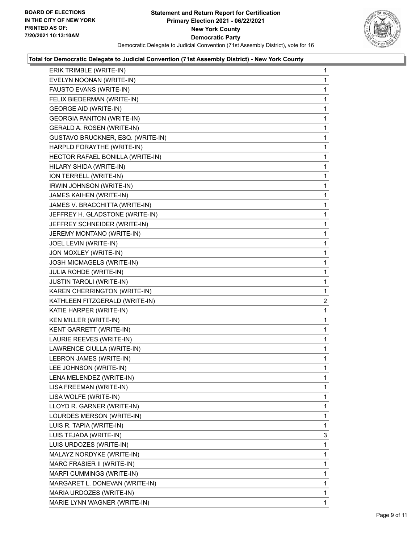

| ERIK TRIMBLE (WRITE-IN)           | $\mathbf{1}$   |
|-----------------------------------|----------------|
| EVELYN NOONAN (WRITE-IN)          | 1              |
| FAUSTO EVANS (WRITE-IN)           | 1              |
| FELIX BIEDERMAN (WRITE-IN)        | 1              |
| <b>GEORGE AID (WRITE-IN)</b>      | 1              |
| <b>GEORGIA PANITON (WRITE-IN)</b> | 1              |
| GERALD A. ROSEN (WRITE-IN)        | 1              |
| GUSTAVO BRUCKNER, ESQ. (WRITE-IN) | 1              |
| HARPLD FORAYTHE (WRITE-IN)        | 1              |
| HECTOR RAFAEL BONILLA (WRITE-IN)  | 1              |
| HILARY SHIDA (WRITE-IN)           | 1              |
| ION TERRELL (WRITE-IN)            | 1              |
| IRWIN JOHNSON (WRITE-IN)          | 1              |
| JAMES KAIHEN (WRITE-IN)           | 1              |
| JAMES V. BRACCHITTA (WRITE-IN)    | 1              |
| JEFFREY H. GLADSTONE (WRITE-IN)   | 1              |
| JEFFREY SCHNEIDER (WRITE-IN)      | 1              |
| JEREMY MONTANO (WRITE-IN)         | 1              |
| JOEL LEVIN (WRITE-IN)             | 1              |
| JON MOXLEY (WRITE-IN)             | 1              |
| JOSH MICMAGELS (WRITE-IN)         | 1              |
| JULIA ROHDE (WRITE-IN)            | 1              |
| <b>JUSTIN TAROLI (WRITE-IN)</b>   | 1              |
| KAREN CHERRINGTON (WRITE-IN)      | 1              |
| KATHLEEN FITZGERALD (WRITE-IN)    | $\overline{a}$ |
| KATIE HARPER (WRITE-IN)           | 1              |
| KEN MILLER (WRITE-IN)             | 1              |
| KENT GARRETT (WRITE-IN)           | 1              |
| LAURIE REEVES (WRITE-IN)          | 1              |
| LAWRENCE CIULLA (WRITE-IN)        | 1              |
| LEBRON JAMES (WRITE-IN)           | 1              |
| LEE JOHNSON (WRITE-IN)            | 1              |
| LENA MELENDEZ (WRITE-IN)          | 1              |
| LISA FREEMAN (WRITE-IN)           | 1              |
| LISA WOLFE (WRITE-IN)             | 1              |
| LLOYD R. GARNER (WRITE-IN)        | 1              |
| LOURDES MERSON (WRITE-IN)         | 1              |
| LUIS R. TAPIA (WRITE-IN)          | 1              |
| LUIS TEJADA (WRITE-IN)            | 3              |
| LUIS URDOZES (WRITE-IN)           | 1              |
| MALAYZ NORDYKE (WRITE-IN)         | 1              |
| MARC FRASIER II (WRITE-IN)        | 1              |
| MARFI CUMMINGS (WRITE-IN)         | 1              |
| MARGARET L. DONEVAN (WRITE-IN)    | 1              |
| MARIA URDOZES (WRITE-IN)          | 1              |
|                                   |                |
| MARIE LYNN WAGNER (WRITE-IN)      | 1              |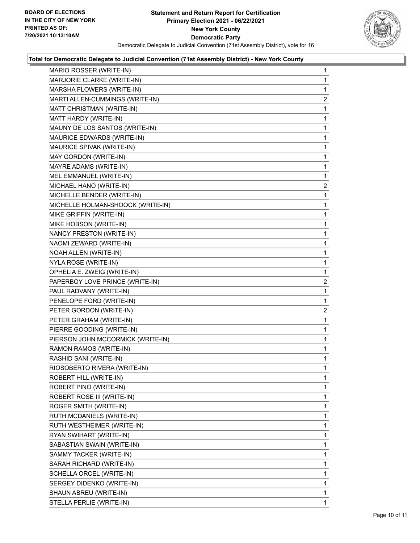

| MARIO ROSSER (WRITE-IN)           | 1              |
|-----------------------------------|----------------|
| MARJORIE CLARKE (WRITE-IN)        | 1              |
| MARSHA FLOWERS (WRITE-IN)         | 1              |
| MARTI ALLEN-CUMMINGS (WRITE-IN)   | $\overline{a}$ |
| MATT CHRISTMAN (WRITE-IN)         | 1              |
| MATT HARDY (WRITE-IN)             | 1              |
| MAUNY DE LOS SANTOS (WRITE-IN)    | 1              |
| MAURICE EDWARDS (WRITE-IN)        | 1              |
| MAURICE SPIVAK (WRITE-IN)         | 1              |
| MAY GORDON (WRITE-IN)             | 1              |
| MAYRE ADAMS (WRITE-IN)            | 1              |
| MEL EMMANUEL (WRITE-IN)           | 1              |
| MICHAEL HANO (WRITE-IN)           | $\overline{2}$ |
| MICHELLE BENDER (WRITE-IN)        | 1              |
| MICHELLE HOLMAN-SHOOCK (WRITE-IN) | 1              |
| MIKE GRIFFIN (WRITE-IN)           | 1              |
| MIKE HOBSON (WRITE-IN)            | 1              |
| NANCY PRESTON (WRITE-IN)          | 1              |
| NAOMI ZEWARD (WRITE-IN)           | 1              |
| NOAH ALLEN (WRITE-IN)             | 1              |
| NYLA ROSE (WRITE-IN)              | 1              |
| OPHELIA E. ZWEIG (WRITE-IN)       | 1              |
| PAPERBOY LOVE PRINCE (WRITE-IN)   | 2              |
| PAUL RADVANY (WRITE-IN)           | 1              |
| PENELOPE FORD (WRITE-IN)          | 1              |
| PETER GORDON (WRITE-IN)           | $\overline{2}$ |
| PETER GRAHAM (WRITE-IN)           | 1              |
| PIERRE GOODING (WRITE-IN)         | 1              |
| PIERSON JOHN MCCORMICK (WRITE-IN) | 1              |
| RAMON RAMOS (WRITE-IN)            | 1              |
| RASHID SANI (WRITE-IN)            | 1              |
| RIOSOBERTO RIVERA (WRITE-IN)      | 1              |
| ROBERT HILL (WRITE-IN)            | 1              |
| ROBERT PINO (WRITE-IN)            | 1              |
| ROBERT ROSE III (WRITE-IN)        | 1              |
| ROGER SMITH (WRITE-IN)            | 1              |
| RUTH MCDANIELS (WRITE-IN)         | 1              |
| RUTH WESTHEIMER (WRITE-IN)        | 1              |
| RYAN SWIHART (WRITE-IN)           | 1              |
| SABASTIAN SWAIN (WRITE-IN)        | 1              |
| SAMMY TACKER (WRITE-IN)           | 1              |
| SARAH RICHARD (WRITE-IN)          | 1              |
| SCHELLA ORCEL (WRITE-IN)          | 1              |
| SERGEY DIDENKO (WRITE-IN)         | 1              |
| SHAUN ABREU (WRITE-IN)            | 1              |
| STELLA PERLIE (WRITE-IN)          | $\mathbf{1}$   |